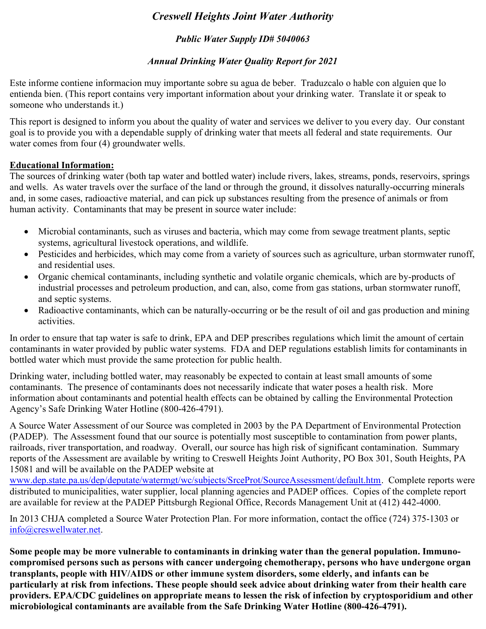# Creswell Heights Joint Water Authority

# Public Water Supply ID# 5040063

# Annual Drinking Water Quality Report for 2021

Este informe contiene informacion muy importante sobre su agua de beber. Traduzcalo o hable con alguien que lo entienda bien. (This report contains very important information about your drinking water. Translate it or speak to someone who understands it.)

This report is designed to inform you about the quality of water and services we deliver to you every day. Our constant goal is to provide you with a dependable supply of drinking water that meets all federal and state requirements. Our water comes from four (4) groundwater wells.

### Educational Information:

The sources of drinking water (both tap water and bottled water) include rivers, lakes, streams, ponds, reservoirs, springs and wells. As water travels over the surface of the land or through the ground, it dissolves naturally-occurring minerals and, in some cases, radioactive material, and can pick up substances resulting from the presence of animals or from human activity. Contaminants that may be present in source water include:

- Microbial contaminants, such as viruses and bacteria, which may come from sewage treatment plants, septic systems, agricultural livestock operations, and wildlife.
- Pesticides and herbicides, which may come from a variety of sources such as agriculture, urban stormwater runoff, and residential uses.
- Organic chemical contaminants, including synthetic and volatile organic chemicals, which are by-products of industrial processes and petroleum production, and can, also, come from gas stations, urban stormwater runoff, and septic systems.
- Radioactive contaminants, which can be naturally-occurring or be the result of oil and gas production and mining activities.

In order to ensure that tap water is safe to drink, EPA and DEP prescribes regulations which limit the amount of certain contaminants in water provided by public water systems. FDA and DEP regulations establish limits for contaminants in bottled water which must provide the same protection for public health.

Drinking water, including bottled water, may reasonably be expected to contain at least small amounts of some contaminants. The presence of contaminants does not necessarily indicate that water poses a health risk. More information about contaminants and potential health effects can be obtained by calling the Environmental Protection Agency's Safe Drinking Water Hotline (800-426-4791).

A Source Water Assessment of our Source was completed in 2003 by the PA Department of Environmental Protection (PADEP). The Assessment found that our source is potentially most susceptible to contamination from power plants, railroads, river transportation, and roadway. Overall, our source has high risk of significant contamination. Summary reports of the Assessment are available by writing to Creswell Heights Joint Authority, PO Box 301, South Heights, PA 15081 and will be available on the PADEP website at

www.dep.state.pa.us/dep/deputate/watermgt/wc/subjects/SrceProt/SourceAssessment/default.htm. Complete reports were distributed to municipalities, water supplier, local planning agencies and PADEP offices. Copies of the complete report are available for review at the PADEP Pittsburgh Regional Office, Records Management Unit at (412) 442-4000.

In 2013 CHJA completed a Source Water Protection Plan. For more information, contact the office (724) 375-1303 or info@creswellwater.net.

Some people may be more vulnerable to contaminants in drinking water than the general population. Immunocompromised persons such as persons with cancer undergoing chemotherapy, persons who have undergone organ transplants, people with HIV/AIDS or other immune system disorders, some elderly, and infants can be particularly at risk from infections. These people should seek advice about drinking water from their health care providers. EPA/CDC guidelines on appropriate means to lessen the risk of infection by cryptosporidium and other microbiological contaminants are available from the Safe Drinking Water Hotline (800-426-4791).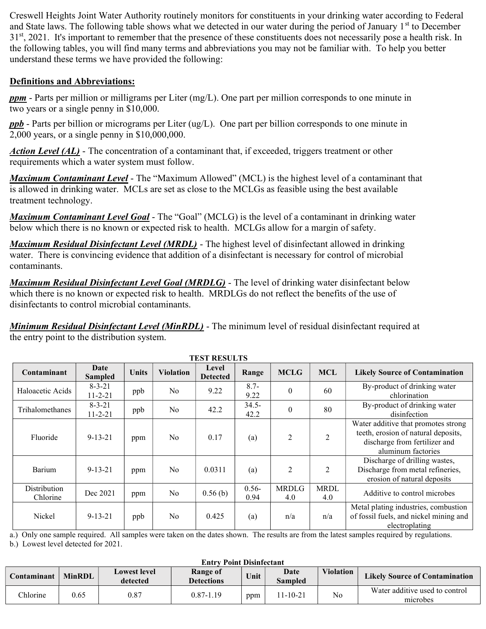Creswell Heights Joint Water Authority routinely monitors for constituents in your drinking water according to Federal and State laws. The following table shows what we detected in our water during the period of January 1<sup>st</sup> to December 31<sup>st</sup>, 2021. It's important to remember that the presence of these constituents does not necessarily pose a health risk. In the following tables, you will find many terms and abbreviations you may not be familiar with. To help you better understand these terms we have provided the following:

## Definitions and Abbreviations:

 $ppm$  - Parts per million or milligrams per Liter (mg/L). One part per million corresponds to one minute in two years or a single penny in \$10,000.

**ppb** - Parts per billion or micrograms per Liter (ug/L). One part per billion corresponds to one minute in 2,000 years, or a single penny in \$10,000,000.

**Action Level (AL)** - The concentration of a contaminant that, if exceeded, triggers treatment or other requirements which a water system must follow.

**Maximum Contaminant Level** - The "Maximum Allowed" (MCL) is the highest level of a contaminant that is allowed in drinking water. MCLs are set as close to the MCLGs as feasible using the best available treatment technology.

**Maximum Contaminant Level Goal** - The "Goal" (MCLG) is the level of a contaminant in drinking water below which there is no known or expected risk to health. MCLGs allow for a margin of safety.

**Maximum Residual Disinfectant Level (MRDL)** - The highest level of disinfectant allowed in drinking water. There is convincing evidence that addition of a disinfectant is necessary for control of microbial contaminants.

**Maximum Residual Disinfectant Level Goal (MRDLG)** - The level of drinking water disinfectant below which there is no known or expected risk to health. MRDLGs do not reflect the benefits of the use of disinfectants to control microbial contaminants.

Minimum Residual Disinfectant Level (MinRDL) - The minimum level of residual disinfectant required at the entry point to the distribution system.

| IEST RESULTS             |                               |       |                  |                          |                  |                     |                    |                                                                                                                                   |
|--------------------------|-------------------------------|-------|------------------|--------------------------|------------------|---------------------|--------------------|-----------------------------------------------------------------------------------------------------------------------------------|
| Contaminant              | Date<br><b>Sampled</b>        | Units | <b>Violation</b> | Level<br><b>Detected</b> | Range            | <b>MCLG</b>         | <b>MCL</b>         | <b>Likely Source of Contamination</b>                                                                                             |
| Haloacetic Acids         | $8 - 3 - 21$<br>$11 - 2 - 21$ | ppb   | No               | 9.22                     | $8.7 -$<br>9.22  | $\theta$            | 60                 | By-product of drinking water<br>chlorination                                                                                      |
| Trihalomethanes          | $8 - 3 - 21$<br>$11 - 2 - 21$ | ppb   | No               | 42.2                     | $34.5 -$<br>42.2 | $\theta$            | 80                 | By-product of drinking water<br>disinfection                                                                                      |
| Fluoride                 | $9 - 13 - 21$                 | ppm   | No.              | 0.17                     | (a)              | 2                   | 2                  | Water additive that promotes strong<br>teeth, erosion of natural deposits,<br>discharge from fertilizer and<br>aluminum factories |
| Barium                   | $9 - 13 - 21$                 | ppm   | No               | 0.0311                   | (a)              | $\overline{2}$      | 2                  | Discharge of drilling wastes,<br>Discharge from metal refineries,<br>erosion of natural deposits                                  |
| Distribution<br>Chlorine | Dec 2021                      | ppm   | No               | 0.56(b)                  | $0.56 -$<br>0.94 | <b>MRDLG</b><br>4.0 | <b>MRDL</b><br>4.0 | Additive to control microbes                                                                                                      |
| Nickel                   | $9 - 13 - 21$                 | ppb   | No               | 0.425                    | (a)              | n/a                 | n/a                | Metal plating industries, combustion<br>of fossil fuels, and nickel mining and<br>electroplating                                  |

TEST RESULTS

a.) Only one sample required. All samples were taken on the dates shown. The results are from the latest samples required by regulations.

b.) Lowest level detected for 2021.

| <b>Entry Point Disinfectant</b> |               |                                 |                               |      |                        |                  |                                            |
|---------------------------------|---------------|---------------------------------|-------------------------------|------|------------------------|------------------|--------------------------------------------|
| Contaminant                     | <b>MinRDL</b> | <b>Lowest level</b><br>detected | Range of<br><b>Detections</b> | Unit | Date<br><b>Sampled</b> | <b>Violation</b> | <b>Likely Source of Contamination</b>      |
| <b>Chlorine</b>                 | 0.65          | 0.87                            | $0.87 - 1.19$                 | ppm  | 1-10-21                | No               | Water additive used to control<br>microbes |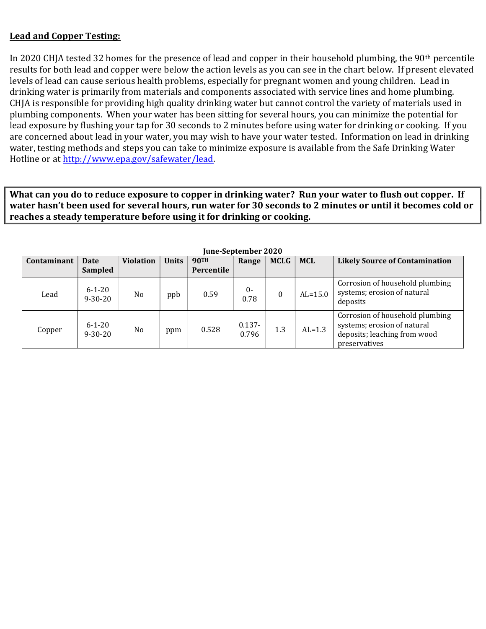### Lead and Copper Testing:

In 2020 CHJA tested 32 homes for the presence of lead and copper in their household plumbing, the 90<sup>th</sup> percentile results for both lead and copper were below the action levels as you can see in the chart below. If present elevated levels of lead can cause serious health problems, especially for pregnant women and young children. Lead in drinking water is primarily from materials and components associated with service lines and home plumbing. CHJA is responsible for providing high quality drinking water but cannot control the variety of materials used in plumbing components. When your water has been sitting for several hours, you can minimize the potential for lead exposure by flushing your tap for 30 seconds to 2 minutes before using water for drinking or cooking. If you are concerned about lead in your water, you may wish to have your water tested. Information on lead in drinking water, testing methods and steps you can take to minimize exposure is available from the Safe Drinking Water Hotline or at http://www.epa.gov/safewater/lead.

What can you do to reduce exposure to copper in drinking water? Run your water to flush out copper. If water hasn't been used for several hours, run water for 30 seconds to 2 minutes or until it becomes cold or reaches a steady temperature before using it for drinking or cooking.

| Contaminant | <b>Date</b><br>Sampled        | <b>Violation</b> | <b>Units</b> | <b>90TH</b><br>Percentile | Range              | <b>MCLG</b>  | <b>MCL</b> | <b>Likely Source of Contamination</b>                                                                           |
|-------------|-------------------------------|------------------|--------------|---------------------------|--------------------|--------------|------------|-----------------------------------------------------------------------------------------------------------------|
| Lead        | $6 - 1 - 20$<br>$9 - 30 - 20$ | N <sub>o</sub>   | ppb          | 0.59                      | $0 -$<br>0.78      | $\mathbf{0}$ | $AL=15.0$  | Corrosion of household plumbing<br>systems; erosion of natural<br>deposits                                      |
| Copper      | $6 - 1 - 20$<br>$9 - 30 - 20$ | N <sub>o</sub>   | ppm          | 0.528                     | $0.137 -$<br>0.796 | 1.3          | $AL=1.3$   | Corrosion of household plumbing<br>systems; erosion of natural<br>deposits; leaching from wood<br>preservatives |

June-September 2020